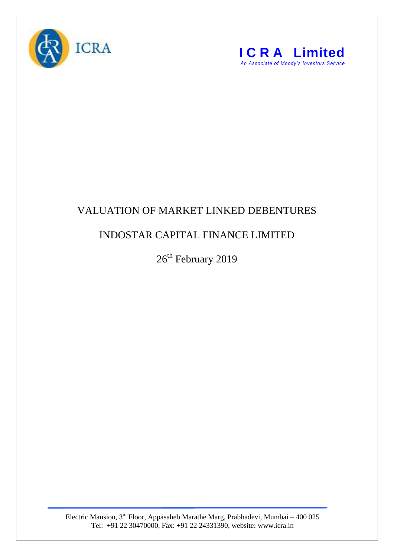



## VALUATION OF MARKET LINKED DEBENTURES

## INDOSTAR CAPITAL FINANCE LIMITED

 $26^{\text{th}}$  February 2019

Electric Mansion,  $3<sup>rd</sup>$  Floor, Appasaheb Marathe Marg, Prabhadevi, Mumbai – 400 025 Tel: +91 22 30470000, Fax: +91 22 24331390, website: www.icra.in